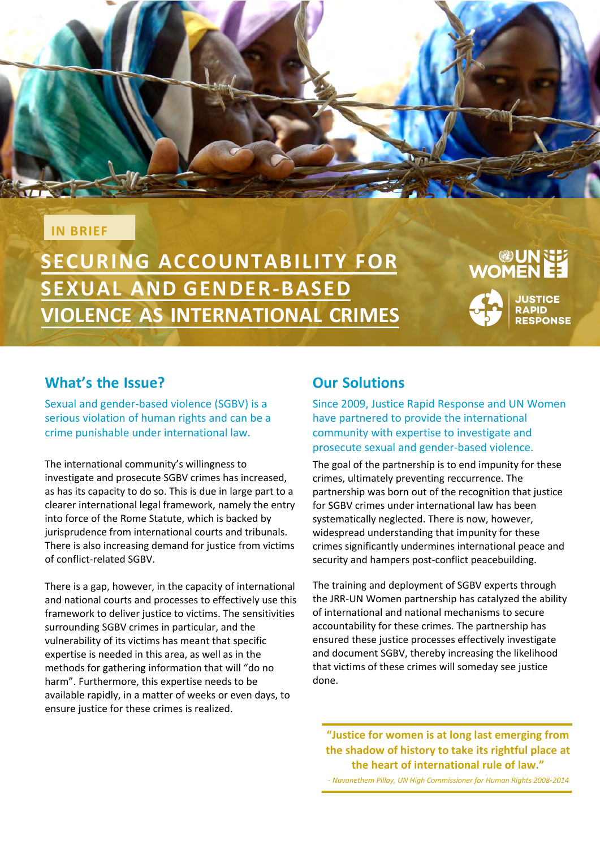### **IN BRIEF**

**SECURING ACCOUNTABILITY FOR SEXUAL AND GENDER-BASED VIOLENCE AS INTERNATIONAL CRIMES**

# **UN GEN**<br>EE WOMEN



### **What's the Issue?**

Sexual and gender-based violence (SGBV) is a serious violation of human rights and can be a crime punishable under international law.

The international community's willingness to investigate and prosecute SGBV crimes has increased, as has its capacity to do so. This is due in large part to a clearer international legal framework, namely the entry into force of the Rome Statute, which is backed by jurisprudence from international courts and tribunals. There is also increasing demand for justice from victims of conflict-related SGBV.

There is a gap, however, in the capacity of international and national courts and processes to effectively use this framework to deliver justice to victims. The sensitivities surrounding SGBV crimes in particular, and the vulnerability of its victims has meant that specific expertise is needed in this area, as well as in the methods for gathering information that will "do no harm". Furthermore, this expertise needs to be available rapidly, in a matter of weeks or even days, to ensure justice for these crimes is realized.

### **Our Solutions**

Since 2009, Justice Rapid Response and UN Women have partnered to provide the international community with expertise to investigate and prosecute sexual and gender-based violence.

The goal of the partnership is to end impunity for these crimes, ultimately preventing reccurrence. The partnership was born out of the recognition that justice for SGBV crimes under international law has been systematically neglected. There is now, however, widespread understanding that impunity for these crimes significantly undermines international peace and security and hampers post-conflict peacebuilding.

The training and deployment of SGBV experts through the JRR-UN Women partnership has catalyzed the ability of international and national mechanisms to secure accountability for these crimes. The partnership has ensured these justice processes effectively investigate and document SGBV, thereby increasing the likelihood that victims of these crimes will someday see justice done.

**"Justice for women is at long last emerging from the shadow of history to take its rightful place at the heart of international rule of law."**

*- Navanethem Pillay, UN High Commissioner for Human Rights 2008-2014*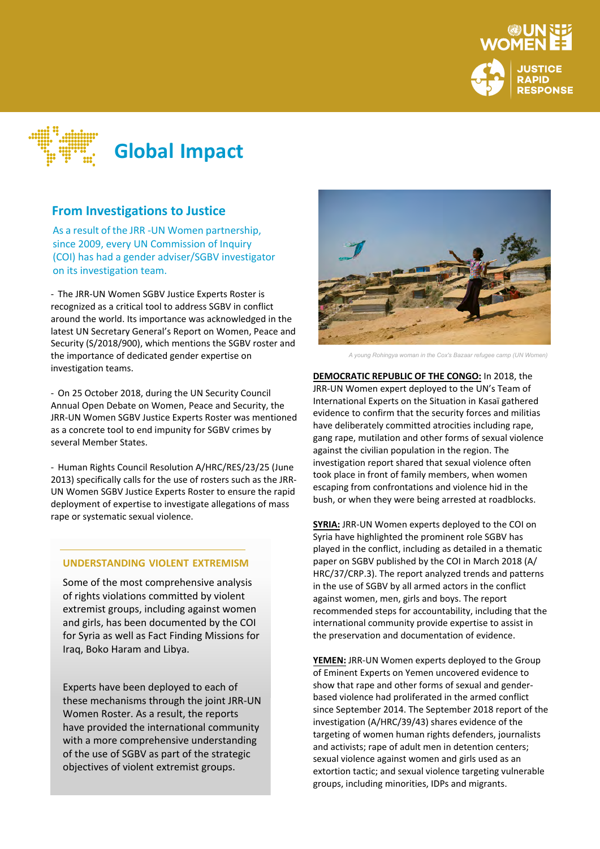



As a result of the JRR -UN Women partnership, As a result of the JRR -UN Women partnership,<br>since 2009, every UN Commission of Inquiry **Relationships and Sexual And Sexual An** (COI) has had a gender adviser/SGBV investigator<br>on its investigation team. on its investigation team.

- The JRR-UN Women SGBV Justice Experts Roster is recognized as a critical tool to address SGBV in conflict around the world. Its importance was acknowledged in the latest UN Secretary General's Report on Women, Peace and Security (S/2018/900), which mentions the SGBV roster and the importance of dedicated gender expertise on investigation teams.

- On 25 October 2018, during the UN Security Council Annual Open Debate on Women, Peace and Security, the JRR-UN Women SGBV Justice Experts Roster was mentioned as a concrete tool to end impunity for SGBV crimes by several Member States.

- Human Rights Council Resolution A/HRC/RES/23/25 (June 2013) specifically calls for the use of rosters such as the JRR-UN Women SGBV Justice Experts Roster to ensure the rapid deployment of expertise to investigate allegations of mass rape or systematic sexual violence.

### **UNDERSTANDING VIOLENT EXTREMISM**

Some of the most comprehensive analysis of rights violations committed by violent extremist groups, including against women and girls, has been documented by the COI for Syria as well as Fact Finding Missions for Iraq, Boko Haram and Libya.

Experts have been deployed to each of these mechanisms through the joint JRR-UN Women Roster. As a result, the reports have provided the international community with a more comprehensive understanding of the use of SGBV as part of the strategic objectives of violent extremist groups.



*A young Rohingya woman in the Cox's Bazaar refugee camp (UN Women)*

**DEMOCRATIC REPUBLIC OF THE CONGO:** In 2018, the JRR-UN Women expert deployed to the UN's Team of International Experts on the Situation in Kasaï gathered evidence to confirm that the security forces and militias have deliberately committed atrocities including rape, gang rape, mutilation and other forms of sexual violence against the civilian population in the region. The investigation report shared that sexual violence often took place in front of family members, when women escaping from confrontations and violence hid in the bush, or when they were being arrested at roadblocks.

**SYRIA:** JRR-UN Women experts deployed to the COI on Syria have highlighted the prominent role SGBV has played in the conflict, including as detailed in a thematic paper on SGBV published by the COI in March 2018 (A/ HRC/37/CRP.3). The report analyzed trends and patterns in the use of SGBV by all armed actors in the conflict against women, men, girls and boys. The report recommended steps for accountability, including that the international community provide expertise to assist in the preservation and documentation of evidence.

**YEMEN:** JRR-UN Women experts deployed to the Group of Eminent Experts on Yemen uncovered evidence to show that rape and other forms of sexual and genderbased violence had proliferated in the armed conflict since September 2014. The September 2018 report of the investigation (A/HRC/39/43) shares evidence of the targeting of women human rights defenders, journalists and activists; rape of adult men in detention centers; sexual violence against women and girls used as an extortion tactic; and sexual violence targeting vulnerable groups, including minorities, IDPs and migrants.